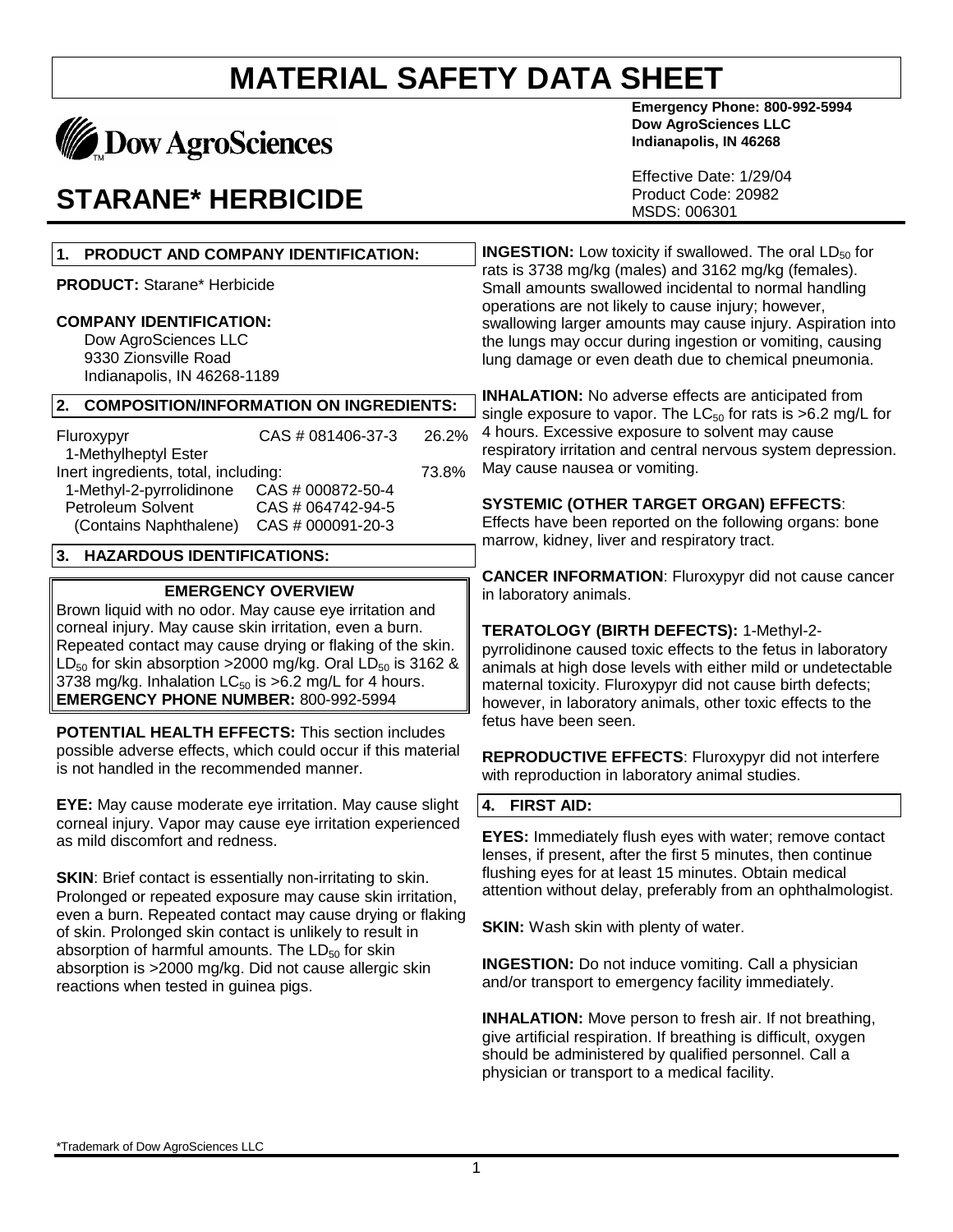## **Dow AgroSciences**

### **STARANE\* HERBICIDE**

#### **1. PRODUCT AND COMPANY IDENTIFICATION:**

**PRODUCT:** Starane\* Herbicide

#### **COMPANY IDENTIFICATION:**

Dow AgroSciences LLC 9330 Zionsville Road Indianapolis, IN 46268-1189

#### **2. COMPOSITION/INFORMATION ON INGREDIENTS:**

| Fluroxypyr                           | CAS # 081406-37-3 | 26.2% |
|--------------------------------------|-------------------|-------|
| 1-Methylheptyl Ester                 |                   |       |
| Inert ingredients, total, including: |                   | 73.8% |
| 1-Methyl-2-pyrrolidinone             | CAS # 000872-50-4 |       |
| Petroleum Solvent                    | CAS # 064742-94-5 |       |
| (Contains Naphthalene)               | CAS # 000091-20-3 |       |
|                                      |                   |       |

#### **3. HAZARDOUS IDENTIFICATIONS:**

#### **EMERGENCY OVERVIEW**

Brown liquid with no odor. May cause eye irritation and corneal injury. May cause skin irritation, even a burn. Repeated contact may cause drying or flaking of the skin.  $LD_{50}$  for skin absorption >2000 mg/kg. Oral  $LD_{50}$  is 3162 & 3738 mg/kg. Inhalation  $LC_{50}$  is  $>6.2$  mg/L for 4 hours. **EMERGENCY PHONE NUMBER:** 800-992-5994

**POTENTIAL HEALTH EFFECTS:** This section includes possible adverse effects, which could occur if this material is not handled in the recommended manner.

**EYE:** May cause moderate eye irritation. May cause slight corneal injury. Vapor may cause eye irritation experienced as mild discomfort and redness.

**SKIN:** Brief contact is essentially non-irritating to skin. Prolonged or repeated exposure may cause skin irritation, even a burn. Repeated contact may cause drying or flaking of skin. Prolonged skin contact is unlikely to result in absorption of harmful amounts. The  $LD_{50}$  for skin absorption is >2000 mg/kg. Did not cause allergic skin reactions when tested in guinea pigs.

**Emergency Phone: 800-992-5994 Dow AgroSciences LLC Indianapolis, IN 46268**

Effective Date: 1/29/04 Product Code: 20982 MSDS: 006301

**INGESTION:** Low toxicity if swallowed. The oral LD<sub>50</sub> for rats is 3738 mg/kg (males) and 3162 mg/kg (females). Small amounts swallowed incidental to normal handling operations are not likely to cause injury; however, swallowing larger amounts may cause injury. Aspiration into the lungs may occur during ingestion or vomiting, causing lung damage or even death due to chemical pneumonia.

**INHALATION:** No adverse effects are anticipated from single exposure to vapor. The  $LC_{50}$  for rats is  $>6.2$  mg/L for 4 hours. Excessive exposure to solvent may cause respiratory irritation and central nervous system depression. May cause nausea or vomiting.

#### **SYSTEMIC (OTHER TARGET ORGAN) EFFECTS**:

Effects have been reported on the following organs: bone marrow, kidney, liver and respiratory tract.

**CANCER INFORMATION**: Fluroxypyr did not cause cancer in laboratory animals.

**TERATOLOGY (BIRTH DEFECTS):** 1-Methyl-2 pyrrolidinone caused toxic effects to the fetus in laboratory

animals at high dose levels with either mild or undetectable maternal toxicity. Fluroxypyr did not cause birth defects; however, in laboratory animals, other toxic effects to the fetus have been seen.

**REPRODUCTIVE EFFECTS**: Fluroxypyr did not interfere with reproduction in laboratory animal studies.

#### **4. FIRST AID:**

**EYES:** Immediately flush eyes with water; remove contact lenses, if present, after the first 5 minutes, then continue flushing eyes for at least 15 minutes. Obtain medical attention without delay, preferably from an ophthalmologist.

**SKIN:** Wash skin with plenty of water.

**INGESTION:** Do not induce vomiting. Call a physician and/or transport to emergency facility immediately.

**INHALATION:** Move person to fresh air. If not breathing, give artificial respiration. If breathing is difficult, oxygen should be administered by qualified personnel. Call a physician or transport to a medical facility.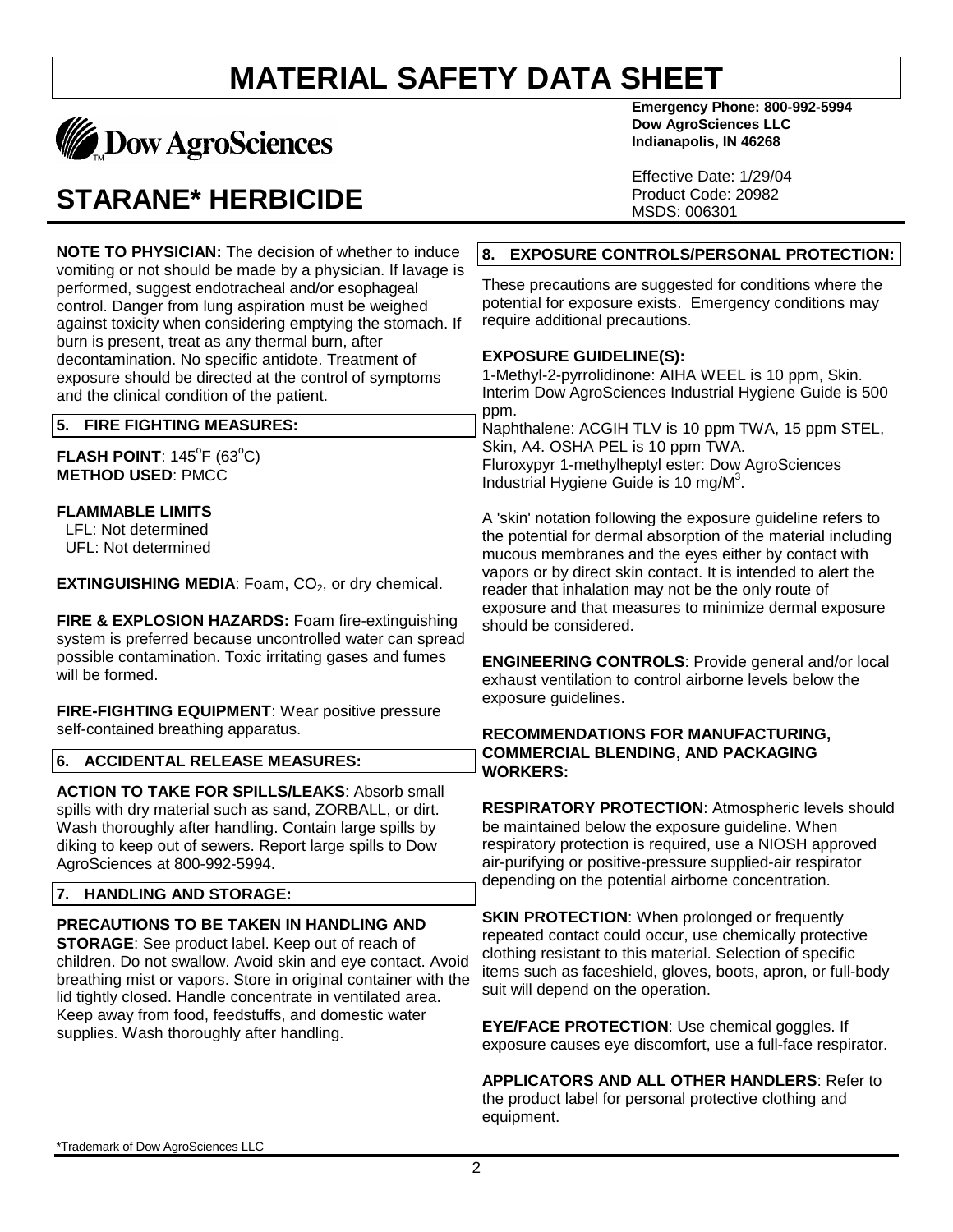

### **STARANE\* HERBICIDE**

**NOTE TO PHYSICIAN:** The decision of whether to induce vomiting or not should be made by a physician. If lavage is performed, suggest endotracheal and/or esophageal control. Danger from lung aspiration must be weighed against toxicity when considering emptying the stomach. If burn is present, treat as any thermal burn, after decontamination. No specific antidote. Treatment of exposure should be directed at the control of symptoms and the clinical condition of the patient.

#### **5. FIRE FIGHTING MEASURES:**

 $FLASH$  POINT:  $145^{\circ}F$  (63 $^{\circ}C$ ) **METHOD USED**: PMCC

#### **FLAMMABLE LIMITS**

 LFL: Not determined UFL: Not determined

**EXTINGUISHING MEDIA: Foam, CO<sub>2</sub>, or dry chemical.** 

**FIRE & EXPLOSION HAZARDS:** Foam fire-extinguishing system is preferred because uncontrolled water can spread possible contamination. Toxic irritating gases and fumes will be formed.

**FIRE-FIGHTING EQUIPMENT**: Wear positive pressure self-contained breathing apparatus.

#### **6. ACCIDENTAL RELEASE MEASURES:**

**ACTION TO TAKE FOR SPILLS/LEAKS**: Absorb small spills with dry material such as sand, ZORBALL, or dirt. Wash thoroughly after handling. Contain large spills by diking to keep out of sewers. Report large spills to Dow AgroSciences at 800-992-5994.

#### **7. HANDLING AND STORAGE:**

#### **PRECAUTIONS TO BE TAKEN IN HANDLING AND**

**STORAGE**: See product label. Keep out of reach of children. Do not swallow. Avoid skin and eye contact. Avoid breathing mist or vapors. Store in original container with the lid tightly closed. Handle concentrate in ventilated area. Keep away from food, feedstuffs, and domestic water supplies. Wash thoroughly after handling.

**Emergency Phone: 800-992-5994 Dow AgroSciences LLC Indianapolis, IN 46268**

Effective Date: 1/29/04 Product Code: 20982 MSDS: 006301

#### **8. EXPOSURE CONTROLS/PERSONAL PROTECTION:**

These precautions are suggested for conditions where the potential for exposure exists. Emergency conditions may require additional precautions.

#### **EXPOSURE GUIDELINE(S):**

1-Methyl-2-pyrrolidinone: AIHA WEEL is 10 ppm, Skin. Interim Dow AgroSciences Industrial Hygiene Guide is 500 ppm.

Naphthalene: ACGIH TLV is 10 ppm TWA, 15 ppm STEL, Skin, A4. OSHA PEL is 10 ppm TWA. Fluroxypyr 1-methylheptyl ester: Dow AgroSciences Industrial Hygiene Guide is 10 mg/M<sup>3</sup>.

A 'skin' notation following the exposure guideline refers to the potential for dermal absorption of the material including mucous membranes and the eyes either by contact with vapors or by direct skin contact. It is intended to alert the reader that inhalation may not be the only route of exposure and that measures to minimize dermal exposure should be considered.

**ENGINEERING CONTROLS**: Provide general and/or local exhaust ventilation to control airborne levels below the exposure guidelines.

#### **RECOMMENDATIONS FOR MANUFACTURING, COMMERCIAL BLENDING, AND PACKAGING WORKERS:**

**RESPIRATORY PROTECTION**: Atmospheric levels should be maintained below the exposure guideline. When respiratory protection is required, use a NIOSH approved air-purifying or positive-pressure supplied-air respirator depending on the potential airborne concentration.

**SKIN PROTECTION:** When prolonged or frequently repeated contact could occur, use chemically protective clothing resistant to this material. Selection of specific items such as faceshield, gloves, boots, apron, or full-body suit will depend on the operation.

**EYE/FACE PROTECTION**: Use chemical goggles. If exposure causes eye discomfort, use a full-face respirator.

**APPLICATORS AND ALL OTHER HANDLERS**: Refer to the product label for personal protective clothing and equipment.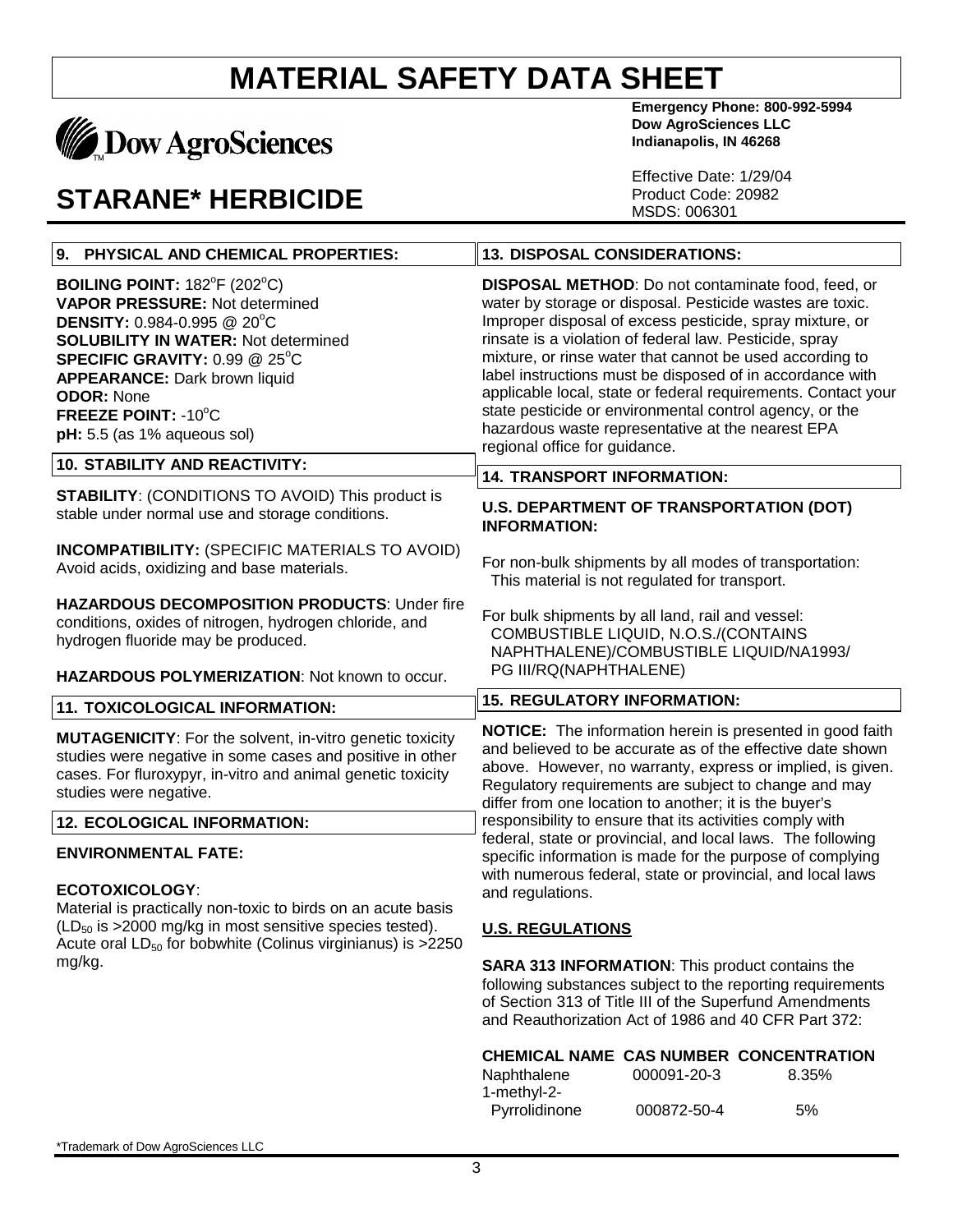# **MADOW AgroSciences**

### **STARANE\* HERBICIDE**

**Emergency Phone: 800-992-5994 Dow AgroSciences LLC Indianapolis, IN 46268**

Effective Date: 1/29/04 Product Code: 20982 MSDS: 006301

| 9. PHYSICAL AND CHEMICAL PROPERTIES:                                                                                                                                                                                                                                                                                         | <b>13. DISPOSAL CONSIDERATIONS:</b>                                                                                                                                                                                                                                                                                                                                                                                                                                                                                                                                                      |  |
|------------------------------------------------------------------------------------------------------------------------------------------------------------------------------------------------------------------------------------------------------------------------------------------------------------------------------|------------------------------------------------------------------------------------------------------------------------------------------------------------------------------------------------------------------------------------------------------------------------------------------------------------------------------------------------------------------------------------------------------------------------------------------------------------------------------------------------------------------------------------------------------------------------------------------|--|
| BOILING POINT: $182^{\circ}F(202^{\circ}C)$<br><b>VAPOR PRESSURE: Not determined</b><br><b>DENSITY: 0.984-0.995 @ 20°C</b><br><b>SOLUBILITY IN WATER: Not determined</b><br>SPECIFIC GRAVITY: 0.99 @ 25°C<br><b>APPEARANCE: Dark brown liquid</b><br><b>ODOR: None</b><br>FREEZE POINT: -10°C<br>pH: 5.5 (as 1% aqueous sol) | <b>DISPOSAL METHOD:</b> Do not contaminate food, feed, or<br>water by storage or disposal. Pesticide wastes are toxic.<br>Improper disposal of excess pesticide, spray mixture, or<br>rinsate is a violation of federal law. Pesticide, spray<br>mixture, or rinse water that cannot be used according to<br>label instructions must be disposed of in accordance with<br>applicable local, state or federal requirements. Contact your<br>state pesticide or environmental control agency, or the<br>hazardous waste representative at the nearest EPA<br>regional office for guidance. |  |
| <b>10. STABILITY AND REACTIVITY:</b>                                                                                                                                                                                                                                                                                         | <b>14. TRANSPORT INFORMATION:</b>                                                                                                                                                                                                                                                                                                                                                                                                                                                                                                                                                        |  |
| <b>STABILITY: (CONDITIONS TO AVOID) This product is</b><br>stable under normal use and storage conditions.                                                                                                                                                                                                                   | <b>U.S. DEPARTMENT OF TRANSPORTATION (DOT)</b><br><b>INFORMATION:</b>                                                                                                                                                                                                                                                                                                                                                                                                                                                                                                                    |  |
| <b>INCOMPATIBILITY: (SPECIFIC MATERIALS TO AVOID)</b><br>Avoid acids, oxidizing and base materials.                                                                                                                                                                                                                          | For non-bulk shipments by all modes of transportation:<br>This material is not regulated for transport.                                                                                                                                                                                                                                                                                                                                                                                                                                                                                  |  |
| <b>HAZARDOUS DECOMPOSITION PRODUCTS: Under fire</b><br>conditions, oxides of nitrogen, hydrogen chloride, and<br>hydrogen fluoride may be produced.                                                                                                                                                                          | For bulk shipments by all land, rail and vessel:<br>COMBUSTIBLE LIQUID, N.O.S./(CONTAINS<br>NAPHTHALENE)/COMBUSTIBLE LIQUID/NA1993/                                                                                                                                                                                                                                                                                                                                                                                                                                                      |  |
|                                                                                                                                                                                                                                                                                                                              |                                                                                                                                                                                                                                                                                                                                                                                                                                                                                                                                                                                          |  |
| HAZARDOUS POLYMERIZATION: Not known to occur.                                                                                                                                                                                                                                                                                | PG III/RQ(NAPHTHALENE)                                                                                                                                                                                                                                                                                                                                                                                                                                                                                                                                                                   |  |
| 11. TOXICOLOGICAL INFORMATION:                                                                                                                                                                                                                                                                                               | <b>15. REGULATORY INFORMATION:</b>                                                                                                                                                                                                                                                                                                                                                                                                                                                                                                                                                       |  |
| <b>MUTAGENICITY:</b> For the solvent, in-vitro genetic toxicity<br>studies were negative in some cases and positive in other<br>cases. For fluroxypyr, in-vitro and animal genetic toxicity<br>studies were negative.                                                                                                        | NOTICE: The information herein is presented in good faith<br>and believed to be accurate as of the effective date shown<br>above. However, no warranty, express or implied, is given.<br>Regulatory requirements are subject to change and may                                                                                                                                                                                                                                                                                                                                           |  |
| <b>12. ECOLOGICAL INFORMATION:</b>                                                                                                                                                                                                                                                                                           | differ from one location to another; it is the buyer's<br>responsibility to ensure that its activities comply with                                                                                                                                                                                                                                                                                                                                                                                                                                                                       |  |
| <b>ENVIRONMENTAL FATE:</b><br><b>ECOTOXICOLOGY:</b><br>Material is practically non-toxic to birds on an acute basis<br>$(LD_{50}$ is >2000 mg/kg in most sensitive species tested).<br>Acute oral LD <sub>50</sub> for bobwhite (Colinus virginianus) is >2250<br>mg/kg.                                                     | federal, state or provincial, and local laws. The following<br>specific information is made for the purpose of complying<br>with numerous federal, state or provincial, and local laws<br>and regulations.<br><b>U.S. REGULATIONS</b><br><b>SARA 313 INFORMATION:</b> This product contains the<br>following substances subject to the reporting requirements<br>of Section 313 of Title III of the Superfund Amendments<br>and Reauthorization Act of 1986 and 40 CFR Part 372:                                                                                                         |  |
|                                                                                                                                                                                                                                                                                                                              | CHEMICAL NAME CAS NUMBER CONCENTRATION<br>000091-20-3<br>8.35%<br>Naphthalene                                                                                                                                                                                                                                                                                                                                                                                                                                                                                                            |  |